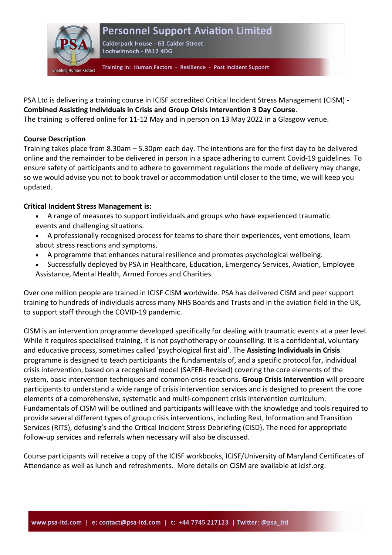

## **Personnel Support Aviation Limited**

Calderpark House - 63 Calder Street Lochwinnoch - PA12 4DG

Training in: Human Factors - Resilience - Post Incident Support

PSA Ltd is delivering a training course in ICISF accredited Critical Incident Stress Management (CISM) - **Combined Assisting Individuals in Crisis and Group Crisis Intervention 3 Day Course**. The training is offered online for 11-12 May and in person on 13 May 2022 in a Glasgow venue.

## **Course Description**

Training takes place from 8.30am – 5.30pm each day. The intentions are for the first day to be delivered online and the remainder to be delivered in person in a space adhering to current Covid-19 guidelines. To ensure safety of participants and to adhere to government regulations the mode of delivery may change, so we would advise you not to book travel or accommodation until closer to the time, we will keep you updated.

## **Critical Incident Stress Management is:**

- A range of measures to support individuals and groups who have experienced traumatic events and challenging situations.
- A professionally recognised process for teams to share their experiences, vent emotions, learn about stress reactions and symptoms.
- A programme that enhances natural resilience and promotes psychological wellbeing.
- Successfully deployed by PSA in Healthcare, Education, Emergency Services, Aviation, Employee Assistance, Mental Health, Armed Forces and Charities.

Over one million people are trained in ICISF CISM worldwide. PSA has delivered CISM and peer support training to hundreds of individuals across many NHS Boards and Trusts and in the aviation field in the UK, to support staff through the COVID-19 pandemic.

CISM is an intervention programme developed specifically for dealing with traumatic events at a peer level. While it requires specialised training, it is not psychotherapy or counselling. It is a confidential, voluntary and educative process, sometimes called 'psychological first aid'. The **Assisting Individuals in Crisis** programme is designed to teach participants the fundamentals of, and a specific protocol for, individual crisis intervention, based on a recognised model (SAFER-Revised) covering the core elements of the system, basic intervention techniques and common crisis reactions. **Group Crisis Intervention** will prepare participants to understand a wide range of crisis intervention services and is designed to present the core elements of a comprehensive, systematic and multi-component crisis intervention curriculum. Fundamentals of CISM will be outlined and participants will leave with the knowledge and tools required to provide several different types of group crisis interventions, including Rest, Information and Transition Services (RITS), defusing's and the Critical Incident Stress Debriefing (CISD). The need for appropriate follow-up services and referrals when necessary will also be discussed.

Course participants will receive a copy of the ICISF workbooks, ICISF/University of Maryland Certificates of Attendance as well as lunch and refreshments. More details on CISM are available at icisf.org.